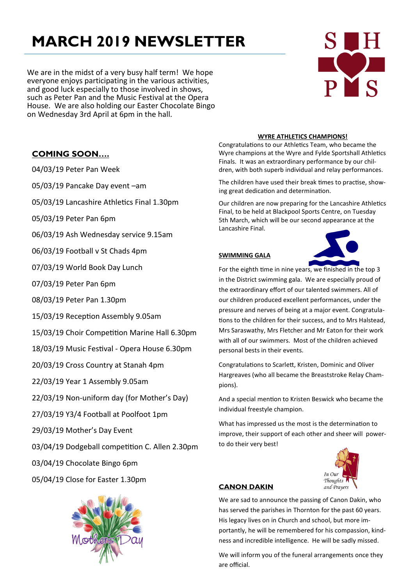# **MARCH 2019 NEWSLETTER**

We are in the midst of a very busy half term! We hope everyone enjoys participating in the various activities, and good luck especially to those involved in shows, such as Peter Pan and the Music Festival at the Opera House. We are also holding our Easter Chocolate Bingo on Wednesday 3rd April at 6pm in the hall.

## **COMING SOON….**

04/03/19 Peter Pan Week

05/03/19 Pancake Day event –am

05/03/19 Lancashire Athletics Final 1.30pm

05/03/19 Peter Pan 6pm

06/03/19 Ash Wednesday service 9.15am

06/03/19 Football v St Chads 4pm

07/03/19 World Book Day Lunch

07/03/19 Peter Pan 6pm

08/03/19 Peter Pan 1.30pm

15/03/19 Reception Assembly 9.05am

15/03/19 Choir Competition Marine Hall 6.30pm

18/03/19 Music Festival - Opera House 6.30pm

20/03/19 Cross Country at Stanah 4pm

22/03/19 Year 1 Assembly 9.05am

22/03/19 Non-uniform day (for Mother's Day)

27/03/19 Y3/4 Football at Poolfoot 1pm

29/03/19 Mother's Day Event

03/04/19 Dodgeball competition C. Allen 2.30pm

03/04/19 Chocolate Bingo 6pm

05/04/19 Close for Easter 1.30pm



#### **WYRE ATHLETICS CHAMPIONS!**

Congratulations to our Athletics Team, who became the Wyre champions at the Wyre and Fylde Sportshall Athletics Finals. It was an extraordinary performance by our children, with both superb individual and relay performances.

The children have used their break times to practise, showing great dedication and determination.

Our children are now preparing for the Lancashire Athletics Final, to be held at Blackpool Sports Centre, on Tuesday 5th March, which will be our second appearance at the Lancashire Final.

#### **SWIMMING GALA**



For the eighth time in nine years, we finished in the top 3 in the District swimming gala. We are especially proud of the extraordinary effort of our talented swimmers. All of our children produced excellent performances, under the pressure and nerves of being at a major event. Congratulations to the children for their success, and to Mrs Halstead, Mrs Saraswathy, Mrs Fletcher and Mr Eaton for their work with all of our swimmers. Most of the children achieved personal bests in their events.

Congratulations to Scarlett, Kristen, Dominic and Oliver Hargreaves (who all became the Breaststroke Relay Champions).

And a special mention to Kristen Beswick who became the individual freestyle champion.

What has impressed us the most is the determination to improve, their support of each other and sheer will powerto do their very best!



#### **CANON DAKIN**

We are sad to announce the passing of Canon Dakin, who has served the parishes in Thornton for the past 60 years. His legacy lives on in Church and school, but more importantly, he will be remembered for his compassion, kindness and incredible intelligence. He will be sadly missed.

We will inform you of the funeral arrangements once they are official.

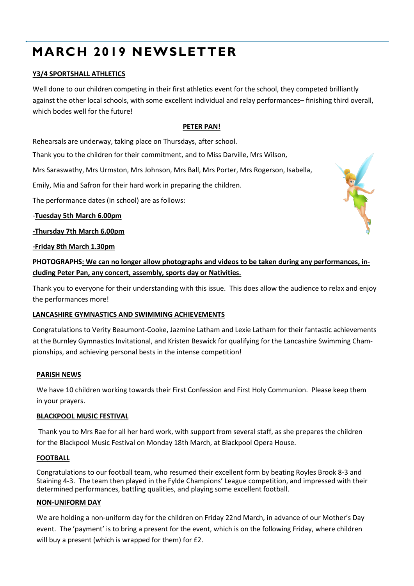## **MARCH 2019 NEWSLETTER**

## **Y3/4 SPORTSHALL ATHLETICS**

Well done to our children competing in their first athletics event for the school, they competed brilliantly against the other local schools, with some excellent individual and relay performances– finishing third overall, which bodes well for the future!

## **PETER PAN!**

Rehearsals are underway, taking place on Thursdays, after school.

Thank you to the children for their commitment, and to Miss Darville, Mrs Wilson,

Mrs Saraswathy, Mrs Urmston, Mrs Johnson, Mrs Ball, Mrs Porter, Mrs Rogerson, Isabella,

Emily, Mia and Safron for their hard work in preparing the children.

The performance dates (in school) are as follows:

-**Tuesday 5th March 6.00pm**

**-Thursday 7th March 6.00pm**

#### **-Friday 8th March 1.30pm**

**PHOTOGRAPHS: We can no longer allow photographs and videos to be taken during any performances, including Peter Pan, any concert, assembly, sports day or Nativities.**

Thank you to everyone for their understanding with this issue. This does allow the audience to relax and enjoy the performances more!

## **LANCASHIRE GYMNASTICS AND SWIMMING ACHIEVEMENTS**

Congratulations to Verity Beaumont-Cooke, Jazmine Latham and Lexie Latham for their fantastic achievements at the Burnley Gymnastics Invitational, and Kristen Beswick for qualifying for the Lancashire Swimming Championships, and achieving personal bests in the intense competition!

#### **PARISH NEWS**

We have 10 children working towards their First Confession and First Holy Communion. Please keep them in your prayers.

## **BLACKPOOL MUSIC FESTIVAL**

Thank you to Mrs Rae for all her hard work, with support from several staff, as she prepares the children for the Blackpool Music Festival on Monday 18th March, at Blackpool Opera House.

## **FOOTBALL**

Congratulations to our football team, who resumed their excellent form by beating Royles Brook 8-3 and Staining 4-3. The team then played in the Fylde Champions' League competition, and impressed with their determined performances, battling qualities, and playing some excellent football.

## **NON-UNIFORM DAY**

We are holding a non-uniform day for the children on Friday 22nd March, in advance of our Mother's Day event. The 'payment' is to bring a present for the event, which is on the following Friday, where children will buy a present (which is wrapped for them) for £2.

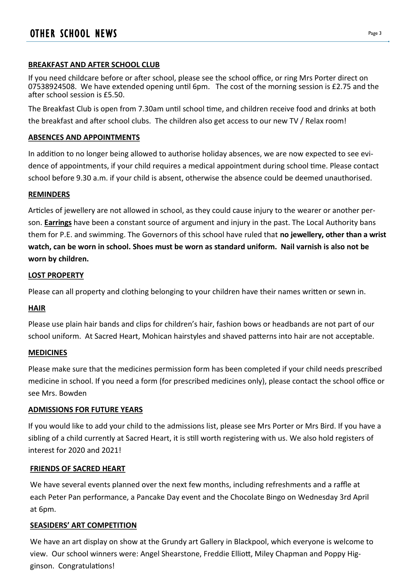## **BREAKFAST AND AFTER SCHOOL CLUB**

If you need childcare before or after school, please see the school office, or ring Mrs Porter direct on 07538924508. We have extended opening until 6pm. The cost of the morning session is £2.75 and the after school session is £5.50.

The Breakfast Club is open from 7.30am until school time, and children receive food and drinks at both the breakfast and after school clubs. The children also get access to our new TV / Relax room!

## **ABSENCES AND APPOINTMENTS**

In addition to no longer being allowed to authorise holiday absences, we are now expected to see evidence of appointments, if your child requires a medical appointment during school time. Please contact school before 9.30 a.m. if your child is absent, otherwise the absence could be deemed unauthorised.

## **REMINDERS**

Articles of jewellery are not allowed in school, as they could cause injury to the wearer or another person. **Earrings** have been a constant source of argument and injury in the past. The Local Authority bans them for P.E. and swimming. The Governors of this school have ruled that **no jewellery, other than a wrist watch, can be worn in school. Shoes must be worn as standard uniform. Nail varnish is also not be worn by children.**

## **LOST PROPERTY**

Please can all property and clothing belonging to your children have their names written or sewn in.

## **HAIR**

Please use plain hair bands and clips for children's hair, fashion bows or headbands are not part of our school uniform. At Sacred Heart, Mohican hairstyles and shaved patterns into hair are not acceptable.

## **MEDICINES**

Please make sure that the medicines permission form has been completed if your child needs prescribed medicine in school. If you need a form (for prescribed medicines only), please contact the school office or see Mrs. Bowden

## **ADMISSIONS FOR FUTURE YEARS**

If you would like to add your child to the admissions list, please see Mrs Porter or Mrs Bird. If you have a sibling of a child currently at Sacred Heart, it is still worth registering with us. We also hold registers of interest for 2020 and 2021!

## **FRIENDS OF SACRED HEART**

We have several events planned over the next few months, including refreshments and a raffle at each Peter Pan performance, a Pancake Day event and the Chocolate Bingo on Wednesday 3rd April at 6pm.

## **SEASIDERS' ART COMPETITION**

We have an art display on show at the Grundy art Gallery in Blackpool, which everyone is welcome to view. Our school winners were: Angel Shearstone, Freddie Elliott, Miley Chapman and Poppy Higginson. Congratulations!